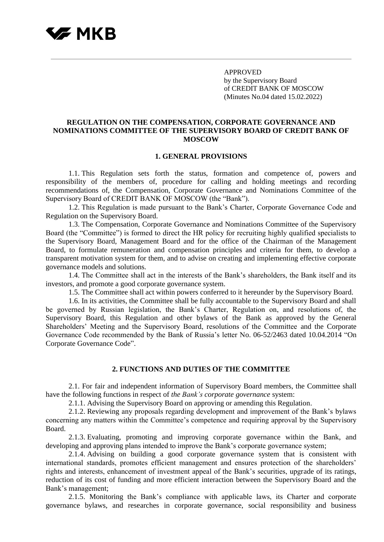

APPROVED by the Supervisory Board of CREDIT BANK OF MOSCOW (Minutes No.04 dated 15.02.2022)

### **REGULATION ON THE COMPENSATION, CORPORATE GOVERNANCE AND NOMINATIONS COMMITTEE OF THE SUPERVISORY BOARD OF CREDIT BANK OF MOSCOW**

#### **1. GENERAL PROVISIONS**

1.1. This Regulation sets forth the status, formation and competence of, powers and responsibility of the members of, procedure for calling and holding meetings and recording recommendations of, the Compensation, Corporate Governance and Nominations Committee of the Supervisory Board of CREDIT BANK OF MOSCOW (the "Bank").

1.2. This Regulation is made pursuant to the Bank's Charter, Corporate Governance Code and Regulation on the Supervisory Board.

1.3. The Compensation, Corporate Governance and Nominations Committee of the Supervisory Board (the "Committee") is formed to direct the HR policy for recruiting highly qualified specialists to the Supervisory Board, Management Board and for the office of the Chairman of the Management Board, to formulate remuneration and compensation principles and criteria for them, to develop a transparent motivation system for them, and to advise on creating and implementing effective corporate governance models and solutions.

1.4. The Committee shall act in the interests of the Bank's shareholders, the Bank itself and its investors, and promote a good corporate governance system.

1.5. The Committee shall act within powers conferred to it hereunder by the Supervisory Board.

1.6. In its activities, the Committee shall be fully accountable to the Supervisory Board and shall be governed by Russian legislation, the Bank's Charter, Regulation on, and resolutions of, the Supervisory Board, this Regulation and other bylaws of the Bank as approved by the General Shareholders' Meeting and the Supervisory Board, resolutions of the Committee and the Corporate Governance Code recommended by the Bank of Russia's letter No. 06-52/2463 dated 10.04.2014 "On Corporate Governance Code".

#### **2. FUNCTIONS AND DUTIES OF THE COMMITTEE**

2.1. For fair and independent information of Supervisory Board members, the Committee shall have the following functions in respect of *the Bank's corporate governance* system:

2.1.1. Advising the Supervisory Board on approving or amending this Regulation.

2.1.2. Reviewing any proposals regarding development and improvement of the Bank's bylaws concerning any matters within the Committee's competence and requiring approval by the Supervisory Board.

2.1.3. Evaluating, promoting and improving corporate governance within the Bank, and developing and approving plans intended to improve the Bank's corporate governance system;

2.1.4. Advising on building a good corporate governance system that is consistent with international standards, promotes efficient management and ensures protection of the shareholders' rights and interests, enhancement of investment appeal of the Bank's securities, upgrade of its ratings, reduction of its cost of funding and more efficient interaction between the Supervisory Board and the Bank's management;

2.1.5. Monitoring the Bank's compliance with applicable laws, its Charter and corporate governance bylaws, and researches in corporate governance, social responsibility and business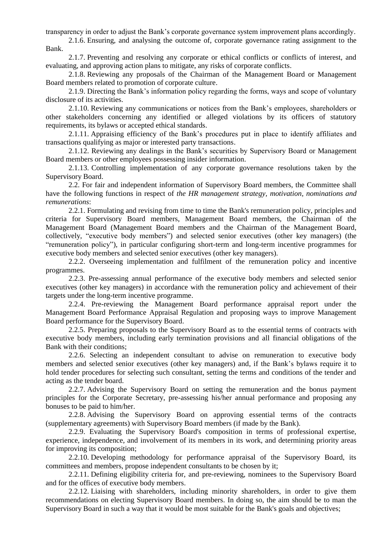transparency in order to adjust the Bank's corporate governance system improvement plans accordingly.

2.1.6. Ensuring, and analysing the outcome of, corporate governance rating assignment to the Bank.

2.1.7. Preventing and resolving any corporate or ethical conflicts or conflicts of interest, and evaluating, and approving action plans to mitigate, any risks of corporate conflicts.

2.1.8. Reviewing any proposals of the Chairman of the Management Board or Management Board members related to promotion of corporate culture.

2.1.9. Directing the Bank's information policy regarding the forms, ways and scope of voluntary disclosure of its activities.

2.1.10. Reviewing any communications or notices from the Bank's employees, shareholders or other stakeholders concerning any identified or alleged violations by its officers of statutory requirements, its bylaws or accepted ethical standards.

2.1.11. Appraising efficiency of the Bank's procedures put in place to identify affiliates and transactions qualifying as major or interested party transactions.

2.1.12. Reviewing any dealings in the Bank's securities by Supervisory Board or Management Board members or other employees possessing insider information.

2.1.13. Controlling implementation of any corporate governance resolutions taken by the Supervisory Board.

2.2. For fair and independent information of Supervisory Board members, the Committee shall have the following functions in respect of *the HR management strategy, motivation, nominations and remunerations*:

2.2.1. Formulating and revising from time to time the Bank's remuneration policy, principles and criteria for Supervisory Board members, Management Board members, the Chairman of the Management Board (Management Board members and the Chairman of the Management Board, collectively, "executive body members") and selected senior executives (other key managers) (the "remuneration policy"), in particular configuring short-term and long-term incentive programmes for executive body members and selected senior executives (other key managers).

2.2.2. Overseeing implementation and fulfilment of the remuneration policy and incentive programmes.

2.2.3. Pre-assessing annual performance of the executive body members and selected senior executives (other key managers) in accordance with the remuneration policy and achievement of their targets under the long-term incentive programme.

2.2.4. Pre-reviewing the Management Board performance appraisal report under the Management Board Performance Appraisal Regulation and proposing ways to improve Management Board performance for the Supervisory Board.

2.2.5. Preparing proposals to the Supervisory Board as to the essential terms of contracts with executive body members, including early termination provisions and all financial obligations of the Bank with their conditions;

2.2.6. Selecting an independent consultant to advise on remuneration to executive body members and selected senior executives (other key managers) and, if the Bank's bylaws require it to hold tender procedures for selecting such consultant, setting the terms and conditions of the tender and acting as the tender board.

2.2.7. Advising the Supervisory Board on setting the remuneration and the bonus payment principles for the Corporate Secretary, pre-assessing his/her annual performance and proposing any bonuses to be paid to him/her.

2.2.8. Advising the Supervisory Board on approving essential terms of the contracts (supplementary agreements) with Supervisory Board members (if made by the Bank).

2.2.9. Evaluating the Supervisory Board's composition in terms of professional expertise, experience, independence, and involvement of its members in its work, and determining priority areas for improving its composition;

2.2.10. Developing methodology for performance appraisal of the Supervisory Board, its committees and members, propose independent consultants to be chosen by it;

2.2.11. Defining eligibility criteria for, and pre-reviewing, nominees to the Supervisory Board and for the offices of executive body members.

2.2.12. Liaising with shareholders, including minority shareholders, in order to give them recommendations on electing Supervisory Board members. In doing so, the aim should be to man the Supervisory Board in such a way that it would be most suitable for the Bank's goals and objectives;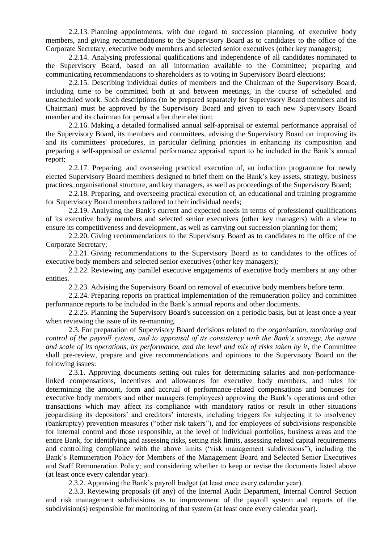2.2.13. Planning appointments, with due regard to succession planning, of executive body members, and giving recommendations to the Supervisory Board as to candidates to the office of the Corporate Secretary, executive body members and selected senior executives (other key managers);

2.2.14. Analysing professional qualifications and independence of all candidates nominated to the Supervisory Board, based on all information available to the Committee; preparing and communicating recommendations to shareholders as to voting in Supervisory Board elections;

2.2.15. Describing individual duties of members and the Chairman of the Supervisory Board, including time to be committed both at and between meetings, in the course of scheduled and unscheduled work. Such descriptions (to be prepared separately for Supervisory Board members and its Chairman) must be approved by the Supervisory Board and given to each new Supervisory Board member and its chairman for perusal after their election;

2.2.16. Making a detailed formalised annual self-appraisal or external performance appraisal of the Supervisory Board, its members and committees, advising the Supervisory Board on improving its and its committees' procedures, in particular defining priorities in enhancing its composition and preparing a self-appraisal or external performance appraisal report to be included in the Bank's annual report;

2.2.17. Preparing, and overseeing practical execution of, an induction programme for newly elected Supervisory Board members designed to brief them on the Bank's key assets, strategy, business practices, organisational structure, and key managers, as well as proceedings of the Supervisory Board;

2.2.18. Preparing, and overseeing practical execution of, an educational and training programme for Supervisory Board members tailored to their individual needs;

2.2.19. Analysing the Bank's current and expected needs in terms of professional qualifications of its executive body members and selected senior executives (other key managers) with a view to ensure its competitiveness and development, as well as carrying out succession planning for them;

2.2.20. Giving recommendations to the Supervisory Board as to candidates to the office of the Corporate Secretary;

2.2.21. Giving recommendations to the Supervisory Board as to candidates to the offices of executive body members and selected senior executives (other key managers);

2.2.22. Reviewing any parallel executive engagements of executive body members at any other entities.

2.2.23. Advising the Supervisory Board on removal of executive body members before term.

2.2.24. Preparing reports on practical implementation of the remuneration policy and committee performance reports to be included in the Bank's annual reports and other documents.

2.2.25. Planning the Supervisory Board's succession on a periodic basis, but at least once a year when reviewing the issue of its re-manning.

2.3. For preparation of Supervisory Board decisions related to the *organisation, monitoring and control of the payroll system, and to appraisal of its consistency with the Bank's strategy, the nature and scale of its operations, its performance, and the level and mix of risks taken by it*, the Committee shall pre-review, prepare and give recommendations and opinions to the Supervisory Board on the following issues:

2.3.1. Approving documents setting out rules for determining salaries and non-performancelinked compensations, incentives and allowances for executive body members, and rules for determining the amount, form and accrual of performance-related compensations and bonuses for executive body members and other managers (employees) approving the Bank's operations and other transactions which may affect its compliance with mandatory ratios or result in other situations jeopardising its depositors' and creditors' interests, including triggers for subjecting it to insolvency (bankruptcy) prevention measures ("other risk takers"), and for employees of subdivisions responsible for internal control and those responsible, at the level of individual portfolios, business areas and the entire Bank, for identifying and assessing risks, setting risk limits, assessing related capital requirements and controlling compliance with the above limits ("risk management subdivisions"), including the Bank's Remuneration Policy for Members of the Management Board and Selected Senior Executives and Staff Remuneration Policy; and considering whether to keep or revise the documents listed above (at least once every calendar year).

2.3.2. Approving the Bank's payroll budget (at least once every calendar year).

2.3.3. Reviewing proposals (if any) of the Internal Audit Department, Internal Control Section and risk management subdivisions as to improvement of the payroll system and reports of the subdivision(s) responsible for monitoring of that system (at least once every calendar year).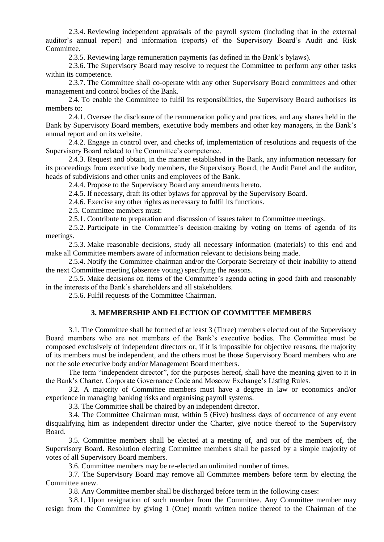2.3.4. Reviewing independent appraisals of the payroll system (including that in the external auditor's annual report) and information (reports) of the Supervisory Board's Audit and Risk Committee.

2.3.5. Reviewing large remuneration payments (as defined in the Bank's bylaws).

2.3.6. The Supervisory Board may resolve to request the Committee to perform any other tasks within its competence.

2.3.7. The Committee shall co-operate with any other Supervisory Board committees and other management and control bodies of the Bank.

2.4. To enable the Committee to fulfil its responsibilities, the Supervisory Board authorises its members to:

2.4.1. Oversee the disclosure of the remuneration policy and practices, and any shares held in the Bank by Supervisory Board members, executive body members and other key managers, in the Bank's annual report and on its website.

2.4.2. Engage in control over, and checks of, implementation of resolutions and requests of the Supervisory Board related to the Committee's competence.

2.4.3. Request and obtain, in the manner established in the Bank, any information necessary for its proceedings from executive body members, the Supervisory Board, the Audit Panel and the auditor, heads of subdivisions and other units and employees of the Bank.

2.4.4. Propose to the Supervisory Board any amendments hereto.

2.4.5. If necessary, draft its other bylaws for approval by the Supervisory Board.

2.4.6. Exercise any other rights as necessary to fulfil its functions.

2.5. Committee members must:

2.5.1. Contribute to preparation and discussion of issues taken to Committee meetings.

2.5.2. Participate in the Committee's decision-making by voting on items of agenda of its meetings.

2.5.3. Make reasonable decisions, study all necessary information (materials) to this end and make all Committee members aware of information relevant to decisions being made.

2.5.4. Notify the Committee chairman and/or the Corporate Secretary of their inability to attend the next Committee meeting (absentee voting) specifying the reasons.

2.5.5. Make decisions on items of the Committee's agenda acting in good faith and reasonably in the interests of the Bank's shareholders and all stakeholders.

2.5.6. Fulfil requests of the Committee Chairman.

## **3. MEMBERSHIP AND ELECTION OF COMMITTEE MEMBERS**

3.1. The Committee shall be formed of at least 3 (Three) members elected out of the Supervisory Board members who are not members of the Bank's executive bodies. The Committee must be composed exclusively of independent directors or, if it is impossible for objective reasons, the majority of its members must be independent, and the others must be those Supervisory Board members who are not the sole executive body and/or Management Board members.

The term "independent director", for the purposes hereof, shall have the meaning given to it in the Bank's Charter, Corporate Governance Code and Moscow Exchange's Listing Rules.

3.2. A majority of Committee members must have a degree in law or economics and/or experience in managing banking risks and organising payroll systems.

3.3. The Committee shall be chaired by an independent director.

3.4. The Committee Chairman must, within 5 (Five) business days of occurrence of any event disqualifying him as independent director under the Charter, give notice thereof to the Supervisory Board.

3.5. Committee members shall be elected at a meeting of, and out of the members of, the Supervisory Board. Resolution electing Committee members shall be passed by a simple majority of votes of all Supervisory Board members.

3.6. Committee members may be re-elected an unlimited number of times.

3.7. The Supervisory Board may remove all Committee members before term by electing the Committee anew.

3.8. Any Committee member shall be discharged before term in the following cases:

3.8.1. Upon resignation of such member from the Committee. Any Committee member may resign from the Committee by giving 1 (One) month written notice thereof to the Chairman of the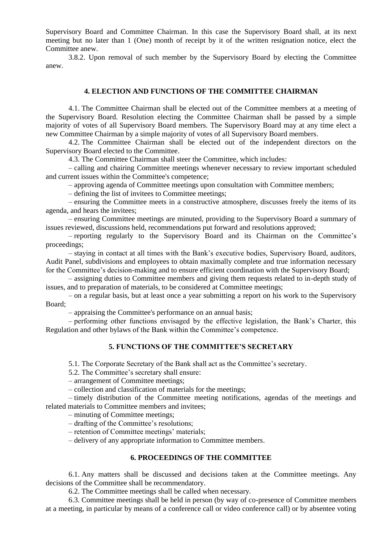Supervisory Board and Committee Chairman. In this case the Supervisory Board shall, at its next meeting but no later than 1 (One) month of receipt by it of the written resignation notice, elect the Committee anew.

3.8.2. Upon removal of such member by the Supervisory Board by electing the Committee anew.

### **4. ELECTION AND FUNCTIONS OF THE COMMITTEE CHAIRMAN**

4.1. The Committee Chairman shall be elected out of the Committee members at a meeting of the Supervisory Board. Resolution electing the Committee Chairman shall be passed by a simple majority of votes of all Supervisory Board members. The Supervisory Board may at any time elect a new Committee Chairman by a simple majority of votes of all Supervisory Board members.

4.2. The Committee Chairman shall be elected out of the independent directors on the Supervisory Board elected to the Committee.

4.3. The Committee Chairman shall steer the Committee, which includes:

– calling and chairing Committee meetings whenever necessary to review important scheduled and current issues within the Committee's competence;

– approving agenda of Committee meetings upon consultation with Committee members;

– defining the list of invitees to Committee meetings;

– ensuring the Committee meets in a constructive atmosphere, discusses freely the items of its agenda, and hears the invitees;

– ensuring Committee meetings are minuted, providing to the Supervisory Board a summary of issues reviewed, discussions held, recommendations put forward and resolutions approved;

– reporting regularly to the Supervisory Board and its Chairman on the Committee's proceedings;

– staying in contact at all times with the Bank's executive bodies, Supervisory Board, auditors, Audit Panel, subdivisions and employees to obtain maximally complete and true information necessary for the Committee's decision-making and to ensure efficient coordination with the Supervisory Board;

– assigning duties to Committee members and giving them requests related to in-depth study of issues, and to preparation of materials, to be considered at Committee meetings;

– on a regular basis, but at least once a year submitting a report on his work to the Supervisory Board;

– appraising the Committee's performance on an annual basis;

– performing other functions envisaged by the effective legislation, the Bank's Charter, this Regulation and other bylaws of the Bank within the Committee's competence.

### **5. FUNCTIONS OF THE COMMITTEE'S SECRETARY**

5.1. The Corporate Secretary of the Bank shall act as the Committee's secretary.

5.2. The Committee's secretary shall ensure:

– arrangement of Committee meetings;

– collection and classification of materials for the meetings;

– timely distribution of the Committee meeting notifications, agendas of the meetings and related materials to Committee members and invitees;

– minuting of Committee meetings;

– drafting of the Committee's resolutions;

– retention of Committee meetings' materials;

– delivery of any appropriate information to Committee members.

## **6. PROCEEDINGS OF THE COMMITTEE**

6.1. Any matters shall be discussed and decisions taken at the Committee meetings. Any decisions of the Committee shall be recommendatory.

6.2. The Committee meetings shall be called when necessary.

6.3. Committee meetings shall be held in person (by way of co-presence of Committee members at a meeting, in particular by means of a conference call or video conference call) or by absentee voting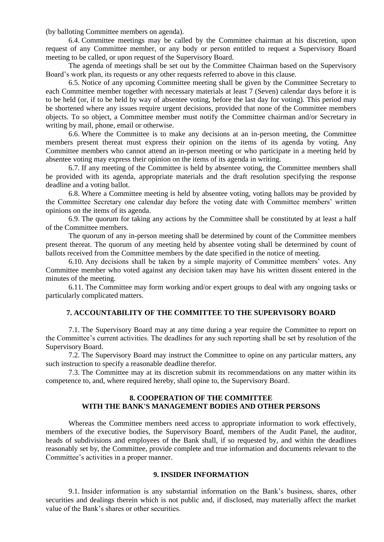(by balloting Committee members on agenda).

6.4. Committee meetings may be called by the Committee chairman at his discretion, upon request of any Committee member, or any body or person entitled to request a Supervisory Board meeting to be called, or upon request of the Supervisory Board.

The agenda of meetings shall be set out by the Committee Chairman based on the Supervisory Board's work plan, its requests or any other requests referred to above in this clause.

6.5. Notice of any upcoming Committee meeting shall be given by the Committee Secretary to each Committee member together with necessary materials at least 7 (Seven) calendar days before it is to be held (or, if to be held by way of absentee voting, before the last day for voting). This period may be shortened where any issues require urgent decisions, provided that none of the Committee members objects. To so object, a Committee member must notify the Committee chairman and/or Secretary in writing by mail, phone, email or otherwise.

6.6. Where the Committee is to make any decisions at an in-person meeting, the Committee members present thereat must express their opinion on the items of its agenda by voting. Any Committee members who cannot attend an in-person meeting or who participate in a meeting held by absentee voting may express their opinion on the items of its agenda in writing.

6.7. If any meeting of the Committee is held by absentee voting, the Committee members shall be provided with its agenda, appropriate materials and the draft resolution specifying the response deadline and a voting ballot.

6.8. Where a Committee meeting is held by absentee voting, voting ballots may be provided by the Committee Secretary one calendar day before the voting date with Committee members' written opinions on the items of its agenda.

6.9. The quorum for taking any actions by the Committee shall be constituted by at least a half of the Committee members.

The quorum of any in-person meeting shall be determined by count of the Committee members present thereat. The quorum of any meeting held by absentee voting shall be determined by count of ballots received from the Committee members by the date specified in the notice of meeting.

6.10. Any decisions shall be taken by a simple majority of Committee members' votes. Any Committee member who voted against any decision taken may have his written dissent entered in the minutes of the meeting.

6.11. The Committee may form working and/or expert groups to deal with any ongoing tasks or particularly complicated matters.

#### **7. ACCOUNTABILITY OF THE COMMITTEE TO THE SUPERVISORY BOARD**

7.1. The Supervisory Board may at any time during a year require the Committee to report on the Committee's current activities. The deadlines for any such reporting shall be set by resolution of the Supervisory Board.

7.2. The Supervisory Board may instruct the Committee to opine on any particular matters, any such instruction to specify a reasonable deadline therefor.

7.3. The Committee may at its discretion submit its recommendations on any matter within its competence to, and, where required hereby, shall opine to, the Supervisory Board.

### **8. COOPERATION OF THE COMMITTEE WITH THE BANK'S MANAGEMENT BODIES AND OTHER PERSONS**

Whereas the Committee members need access to appropriate information to work effectively, members of the executive bodies, the Supervisory Board, members of the Audit Panel, the auditor, heads of subdivisions and employees of the Bank shall, if so requested by, and within the deadlines reasonably set by, the Committee, provide complete and true information and documents relevant to the Committee's activities in a proper manner.

### **9. INSIDER INFORMATION**

9.1. Insider information is any substantial information on the Bank's business, shares, other securities and dealings therein which is not public and, if disclosed, may materially affect the market value of the Bank's shares or other securities.